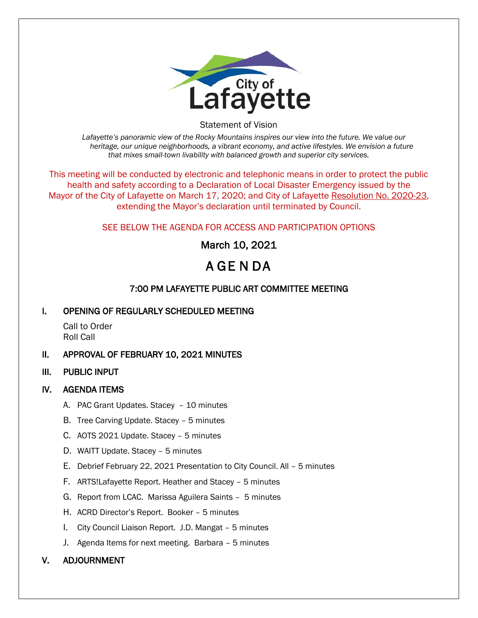

Statement of Vision

*Lafayette's panoramic view of the Rocky Mountains inspires our view into the future. We value our heritage, our unique neighborhoods, a vibrant economy, and active lifestyles. We envision a future that mixes small-town livability with balanced growth and superior city services.*

This meeting will be conducted by electronic and telephonic means in order to protect the public health and safety according to a Declaration of Local Disaster Emergency issued by the Mayor of the City of Lafayette on March 17, 2020; and City of Lafayette Resolution No. 2020-23, extending the Mayor's declaration until terminated by Council.

### SEE BELOW THE AGENDA FOR ACCESS AND PARTICIPATION OPTIONS

March 10, 2021

# A GE N DA

## 7:00 PM LAFAYETTE PUBLIC ART COMMITTEE MEETING

#### I. OPENING OF REGULARLY SCHEDULED MEETING

Call to Order Roll Call

#### II. APPROVAL OF FEBRUARY 10, 2021 MINUTES

III. PUBLIC INPUT

#### IV. AGENDA ITEMS

- A. PAC Grant Updates. Stacey 10 minutes
- B. Tree Carving Update. Stacey 5 minutes
- C. AOTS 2021 Update. Stacey 5 minutes
- D. WAITT Update. Stacey 5 minutes
- E. Debrief February 22, 2021 Presentation to City Council. All 5 minutes
- F. ARTS!Lafayette Report. Heather and Stacey 5 minutes
- G. Report from LCAC. Marissa Aguilera Saints 5 minutes
- H. ACRD Director's Report. Booker 5 minutes
- I. City Council Liaison Report. J.D. Mangat 5 minutes
- J. Agenda Items for next meeting. Barbara 5 minutes

#### V. ADJOURNMENT